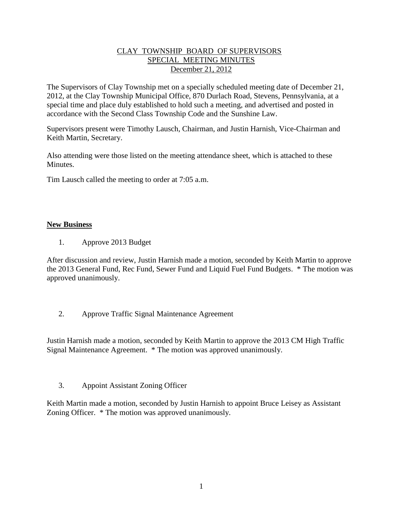### CLAY TOWNSHIP BOARD OF SUPERVISORS SPECIAL MEETING MINUTES December 21, 2012

The Supervisors of Clay Township met on a specially scheduled meeting date of December 21, 2012, at the Clay Township Municipal Office, 870 Durlach Road, Stevens, Pennsylvania, at a special time and place duly established to hold such a meeting, and advertised and posted in accordance with the Second Class Township Code and the Sunshine Law.

Supervisors present were Timothy Lausch, Chairman, and Justin Harnish, Vice-Chairman and Keith Martin, Secretary.

Also attending were those listed on the meeting attendance sheet, which is attached to these Minutes.

Tim Lausch called the meeting to order at 7:05 a.m.

#### **New Business**

1. Approve 2013 Budget

After discussion and review, Justin Harnish made a motion, seconded by Keith Martin to approve the 2013 General Fund, Rec Fund, Sewer Fund and Liquid Fuel Fund Budgets. \* The motion was approved unanimously.

2. Approve Traffic Signal Maintenance Agreement

Justin Harnish made a motion, seconded by Keith Martin to approve the 2013 CM High Traffic Signal Maintenance Agreement. \* The motion was approved unanimously.

3. Appoint Assistant Zoning Officer

Keith Martin made a motion, seconded by Justin Harnish to appoint Bruce Leisey as Assistant Zoning Officer. \* The motion was approved unanimously.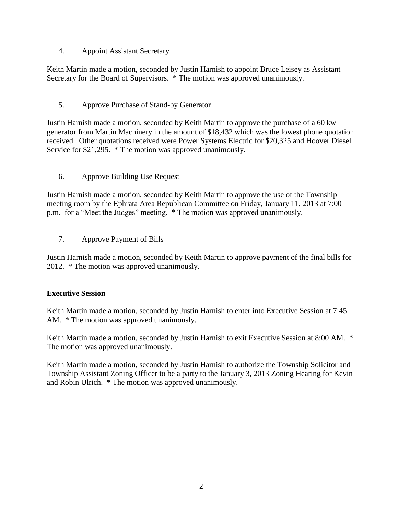### 4. Appoint Assistant Secretary

Keith Martin made a motion, seconded by Justin Harnish to appoint Bruce Leisey as Assistant Secretary for the Board of Supervisors. \* The motion was approved unanimously.

# 5. Approve Purchase of Stand-by Generator

Justin Harnish made a motion, seconded by Keith Martin to approve the purchase of a 60 kw generator from Martin Machinery in the amount of \$18,432 which was the lowest phone quotation received. Other quotations received were Power Systems Electric for \$20,325 and Hoover Diesel Service for \$21,295. \* The motion was approved unanimously.

6. Approve Building Use Request

Justin Harnish made a motion, seconded by Keith Martin to approve the use of the Township meeting room by the Ephrata Area Republican Committee on Friday, January 11, 2013 at 7:00 p.m. for a "Meet the Judges" meeting. \* The motion was approved unanimously.

7. Approve Payment of Bills

Justin Harnish made a motion, seconded by Keith Martin to approve payment of the final bills for 2012. \* The motion was approved unanimously.

## **Executive Session**

Keith Martin made a motion, seconded by Justin Harnish to enter into Executive Session at 7:45 AM. \* The motion was approved unanimously.

Keith Martin made a motion, seconded by Justin Harnish to exit Executive Session at 8:00 AM. \* The motion was approved unanimously.

Keith Martin made a motion, seconded by Justin Harnish to authorize the Township Solicitor and Township Assistant Zoning Officer to be a party to the January 3, 2013 Zoning Hearing for Kevin and Robin Ulrich. \* The motion was approved unanimously.